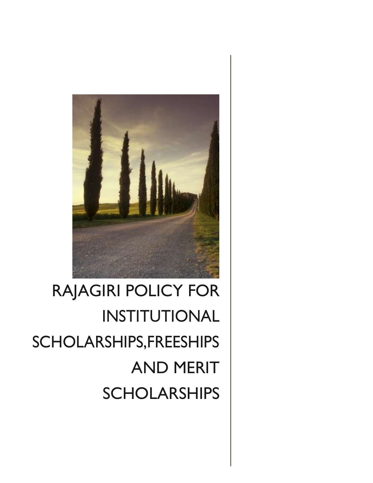

# RAJAGIRI POLICY FOR INSTITUTIONAL SCHOLARSHIPS,FREESHIPS AND MERIT SCHOLARSHIPS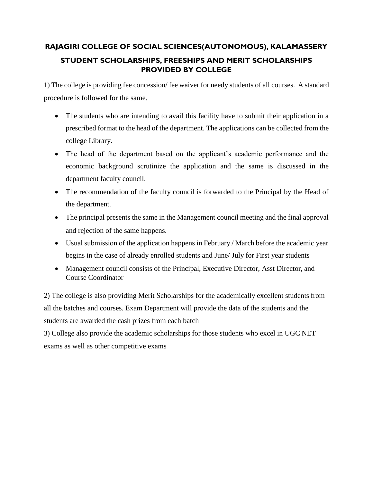## **RAJAGIRI COLLEGE OF SOCIAL SCIENCES(AUTONOMOUS), KALAMASSERY STUDENT SCHOLARSHIPS, FREESHIPS AND MERIT SCHOLARSHIPS PROVIDED BY COLLEGE**

1) The college is providing fee concession/ fee waiver for needy students of all courses. A standard procedure is followed for the same.

- The students who are intending to avail this facility have to submit their application in a prescribed format to the head of the department. The applications can be collected from the college Library.
- The head of the department based on the applicant's academic performance and the economic background scrutinize the application and the same is discussed in the department faculty council.
- The recommendation of the faculty council is forwarded to the Principal by the Head of the department.
- The principal presents the same in the Management council meeting and the final approval and rejection of the same happens.
- Usual submission of the application happens in February / March before the academic year begins in the case of already enrolled students and June/ July for First year students
- Management council consists of the Principal, Executive Director, Asst Director, and Course Coordinator

2) The college is also providing Merit Scholarships for the academically excellent students from all the batches and courses. Exam Department will provide the data of the students and the students are awarded the cash prizes from each batch

3) College also provide the academic scholarships for those students who excel in UGC NET exams as well as other competitive exams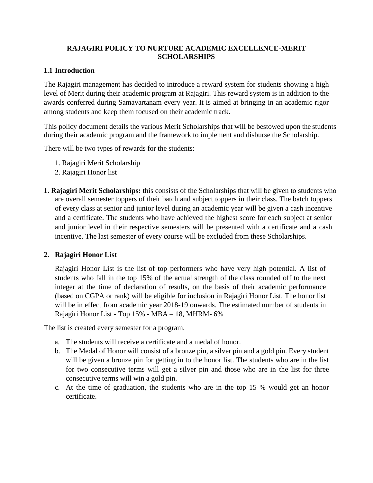#### **RAJAGIRI POLICY TO NURTURE ACADEMIC EXCELLENCE-MERIT SCHOLARSHIPS**

#### **1.1 Introduction**

The Rajagiri management has decided to introduce a reward system for students showing a high level of Merit during their academic program at Rajagiri. This reward system is in addition to the awards conferred during Samavartanam every year. It is aimed at bringing in an academic rigor among students and keep them focused on their academic track.

This policy document details the various Merit Scholarships that will be bestowed upon the students during their academic program and the framework to implement and disburse the Scholarship.

There will be two types of rewards for the students:

- 1. Rajagiri Merit Scholarship
- 2. Rajagiri Honor list
- **1. Rajagiri Merit Scholarships:** this consists of the Scholarships that will be given to students who are overall semester toppers of their batch and subject toppers in their class. The batch toppers of every class at senior and junior level during an academic year will be given a cash incentive and a certificate. The students who have achieved the highest score for each subject at senior and junior level in their respective semesters will be presented with a certificate and a cash incentive. The last semester of every course will be excluded from these Scholarships.

#### **2. Rajagiri Honor List**

Rajagiri Honor List is the list of top performers who have very high potential. A list of students who fall in the top 15% of the actual strength of the class rounded off to the next integer at the time of declaration of results, on the basis of their academic performance (based on CGPA or rank) will be eligible for inclusion in Rajagiri Honor List. The honor list will be in effect from academic year 2018-19 onwards. The estimated number of students in Rajagiri Honor List - Top 15% - MBA – 18, MHRM- 6%

The list is created every semester for a program.

- a. The students will receive a certificate and a medal of honor.
- b. The Medal of Honor will consist of a bronze pin, a silver pin and a gold pin. Every student will be given a bronze pin for getting in to the honor list. The students who are in the list for two consecutive terms will get a silver pin and those who are in the list for three consecutive terms will win a gold pin.
- c. At the time of graduation, the students who are in the top 15 % would get an honor certificate.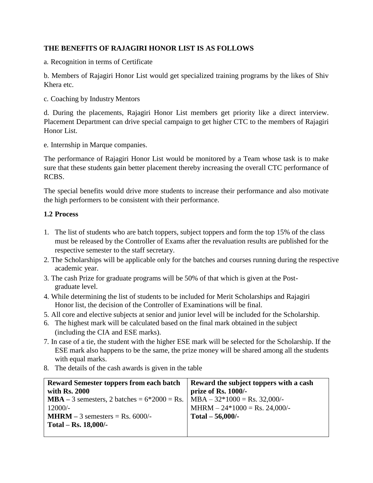### **THE BENEFITS OF RAJAGIRI HONOR LIST IS AS FOLLOWS**

a. Recognition in terms of Certificate

b. Members of Rajagiri Honor List would get specialized training programs by the likes of Shiv Khera etc.

c. Coaching by Industry Mentors

d. During the placements, Rajagiri Honor List members get priority like a direct interview. Placement Department can drive special campaign to get higher CTC to the members of Rajagiri Honor List.

e. Internship in Marque companies.

The performance of Rajagiri Honor List would be monitored by a Team whose task is to make sure that these students gain better placement thereby increasing the overall CTC performance of RCBS.

The special benefits would drive more students to increase their performance and also motivate the high performers to be consistent with their performance.

#### **1.2 Process**

- 1. The list of students who are batch toppers, subject toppers and form the top 15% of the class must be released by the Controller of Exams after the revaluation results are published for the respective semester to the staff secretary.
- 2. The Scholarships will be applicable only for the batches and courses running during the respective academic year.
- 3. The cash Prize for graduate programs will be 50% of that which is given at the Postgraduate level.
- 4. While determining the list of students to be included for Merit Scholarships and Rajagiri Honor list, the decision of the Controller of Examinations will be final.
- 5. All core and elective subjects at senior and junior level will be included for the Scholarship.
- 6. The highest mark will be calculated based on the final mark obtained in the subject (including the CIA and ESE marks).
- 7. In case of a tie, the student with the higher ESE mark will be selected for the Scholarship. If the ESE mark also happens to be the same, the prize money will be shared among all the students with equal marks.
- 8. The details of the cash awards is given in the table

| <b>Reward Semester toppers from each batch</b>       | Reward the subject toppers with a cash |
|------------------------------------------------------|----------------------------------------|
| with Rs. 2000                                        | prize of Rs. 1000/-                    |
| <b>MBA</b> – 3 semesters, 2 batches = $6*2000$ = Rs. | $MBA - 32*1000 = Rs. 32,000/$          |
| $12000/-$                                            | $MHRM - 24*1000 = Rs. 24,000/$         |
| <b>MHRM</b> $-3$ semesters $=$ Rs. 6000/-            | Total $-56,000$ /-                     |
| Total – Rs. $18,000/$ -                              |                                        |
|                                                      |                                        |